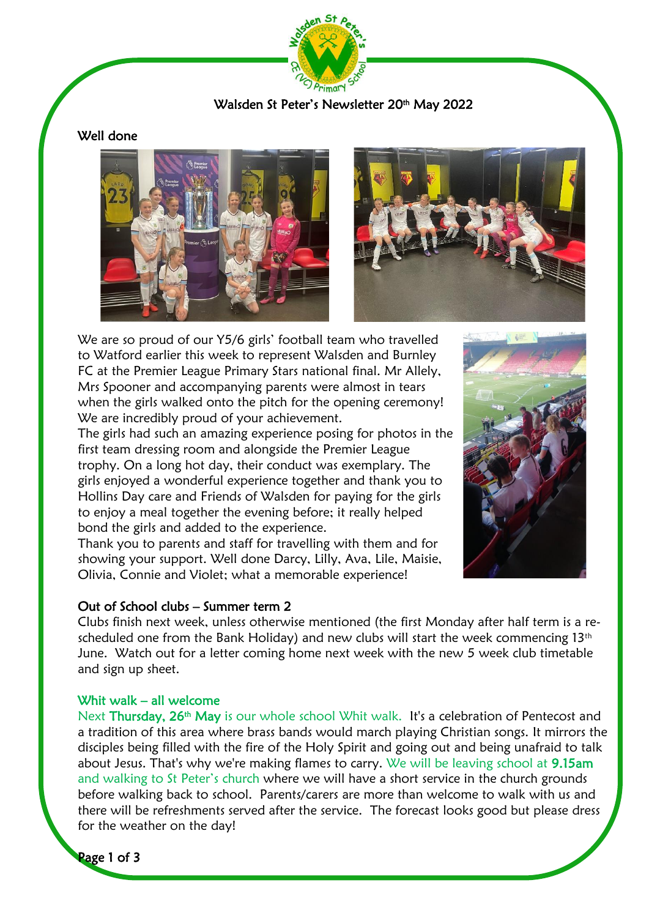

# Walsden St Peter's Newsletter 20<sup>th</sup> May 2022

# Well done





We are so proud of our Y5/6 girls' football team who travelled to Watford earlier this week to represent Walsden and Burnley FC at the Premier League Primary Stars national final. Mr Allely, Mrs Spooner and accompanying parents were almost in tears when the girls walked onto the pitch for the opening ceremony! We are incredibly proud of your achievement.

The girls had such an amazing experience posing for photos in the first team dressing room and alongside the Premier League trophy. On a long hot day, their conduct was exemplary. The girls enjoyed a wonderful experience together and thank you to Hollins Day care and Friends of Walsden for paying for the girls to enjoy a meal together the evening before; it really helped bond the girls and added to the experience.

Thank you to parents and staff for travelling with them and for showing your support. Well done Darcy, Lilly, Ava, Lile, Maisie, Olivia, Connie and Violet; what a memorable experience!



# Out of School clubs – Summer term 2

Clubs finish next week, unless otherwise mentioned (the first Monday after half term is a rescheduled one from the Bank Holiday) and new clubs will start the week commencing  $13<sup>th</sup>$ June. Watch out for a letter coming home next week with the new 5 week club timetable and sign up sheet.

### Whit walk – all welcome

Next Thursday, 26<sup>th</sup> May is our whole school Whit walk. It's a celebration of Pentecost and a tradition of this area where brass bands would march playing Christian songs. It mirrors the disciples being filled with the fire of the Holy Spirit and going out and being unafraid to talk about Jesus. That's why we're making flames to carry. We will be leaving school at 9.15am and walking to St Peter's church where we will have a short service in the church grounds before walking back to school. Parents/carers are more than welcome to walk with us and there will be refreshments served after the service. The forecast looks good but please dress for the weather on the day!

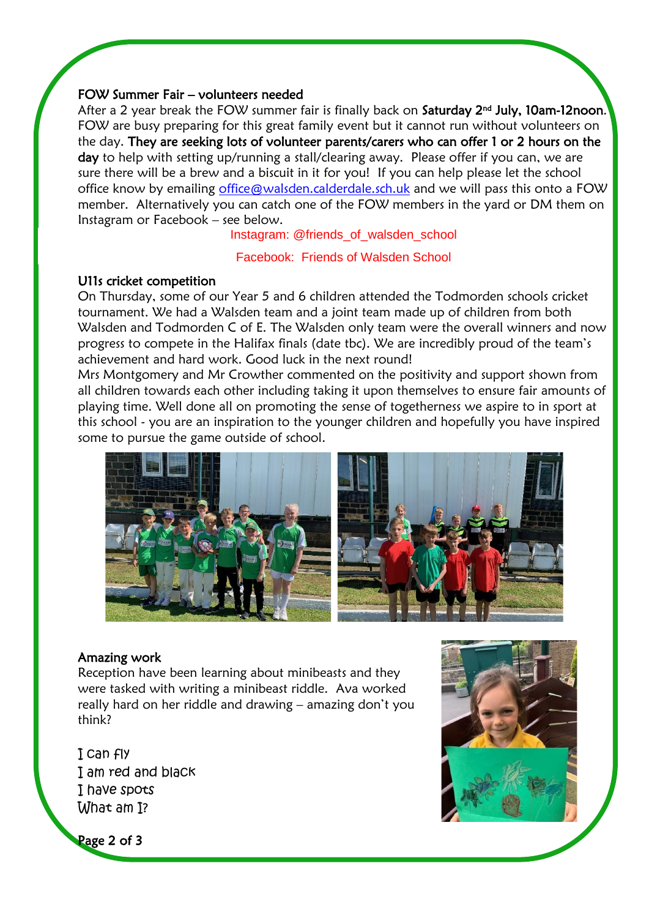### FOW Summer Fair – volunteers needed

After a 2 year break the FOW summer fair is finally back on **Saturday 2nd July, 10am-12noon.** I FOW are busy preparing for this great family event but it cannot run without volunteers on the day. They are seeking lots of volunteer parents/carers who can offer 1 or 2 hours on the day to help with setting up/running a stall/clearing away. Please offer if you can, we are sure there will be a brew and a biscuit in it for you! If you can help please let the school office know by emailing [office@walsden.calderdale.sch.uk](mailto:office@walsden.calderdale.sch.uk) and we will pass this onto a FOW member. Alternatively you can catch one of the FOW members in the yard or DM them on Instagram or Facebook – see below.

#### Instagram: @friends\_of\_walsden\_school

Facebook: Friends of Walsden School

#### U11s cricket competition

í

On Thursday, some of our Year 5 and 6 children attended the Todmorden schools cricket tournament. We had a Walsden team and a joint team made up of children from both Walsden and Todmorden C of E. The Walsden only team were the overall winners and now progress to compete in the Halifax finals (date tbc). We are incredibly proud of the team's achievement and hard work. Good luck in the next round!

Mrs Montgomery and Mr Crowther commented on the positivity and support shown from all children towards each other including taking it upon themselves to ensure fair amounts of playing time. Well done all on promoting the sense of togetherness we aspire to in sport at this school - you are an inspiration to the younger children and hopefully you have inspired some to pursue the game outside of school.



### Amazing work

Reception have been learning about minibeasts and they were tasked with writing a minibeast riddle. Ava worked really hard on her riddle and drawing – amazing don't you think?

I can fly I am red and black I have spots What am I?



Page 2 of 3